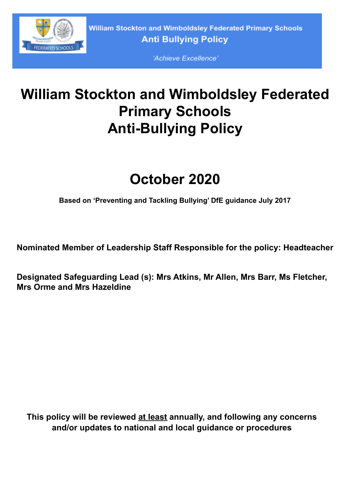

William Stockton and Wimboldsley Federated Primary Schools **Anti Bullying Policy** 

'Achieve Excellence'

# **William Stockton and Wimboldsley Federated Primary Schools Anti-Bullying Policy**

# **October 2020**

**Based on 'Preventing and Tackling Bullying' DfE guidance July 2017**

**Nominated Member of Leadership Staff Responsible for the policy: Headteacher**

**Designated Safeguarding Lead (s): Mrs Atkins, Mr Allen, Mrs Barr, Ms Fletcher, Mrs Orme and Mrs Hazeldine**

**This policy will be reviewed at least annually, and following any concerns and/or updates to national and local guidance or procedures**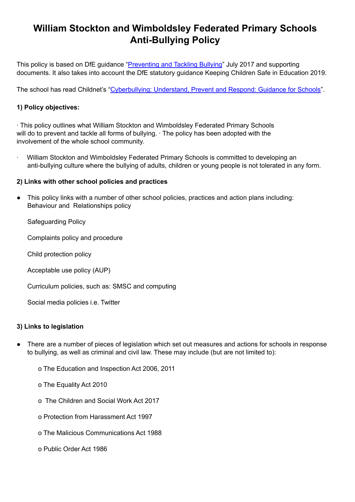# **William Stockton and Wimboldsley Federated Primary Schools Anti-Bullying Policy**

This policy is based on DfE guidance "Preventing and Tackling Bullying" July 2017 and supporting documents. It also takes into account the DfE statutory guidance Keeping Children Safe in Education 2019.

The school has read Childnet's "Cyberbullying: Understand, Prevent and Respond: Guidance for Schools".

# **1) Policy objectives:**

∙ This policy outlines what William Stockton and Wimboldsley Federated Primary Schools will do to prevent and tackle all forms of bullying. ⋅ The policy has been adopted with the involvement of the whole school community.

∙ William Stockton and Wimboldsley Federated Primary Schools is committed to developing an anti-bullying culture where the bullying of adults, children or young people is not tolerated in any form.

# **2) Links with other school policies and practices**

This policy links with a number of other school policies, practices and action plans including: Behaviour and Relationships policy

Safeguarding Policy

Complaints policy and procedure

Child protection policy

Acceptable use policy (AUP)

Curriculum policies, such as: SMSC and computing

Social media policies i.e. Twitter

### **3) Links to legislation**

- There are a number of pieces of legislation which set out measures and actions for schools in response to bullying, as well as criminal and civil law. These may include (but are not limited to):
	- o The Education and Inspection Act 2006, 2011
	- o The Equality Act 2010
	- o The Children and Social Work Act 2017
	- o Protection from Harassment Act 1997
	- o The Malicious Communications Act 1988
	- o Public Order Act 1986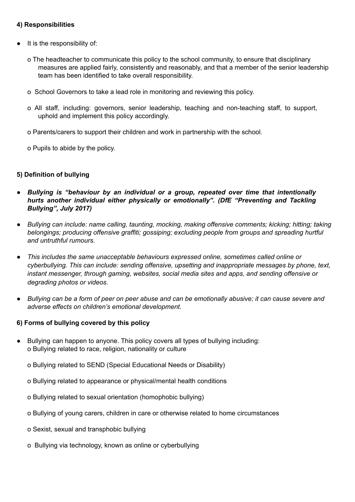# **4) Responsibilities**

- It is the responsibility of:
	- o The headteacher to communicate this policy to the school community, to ensure that disciplinary measures are applied fairly, consistently and reasonably, and that a member of the senior leadership team has been identified to take overall responsibility.
	- o School Governors to take a lead role in monitoring and reviewing this policy.
	- o All staff, including: governors, senior leadership, teaching and non-teaching staff, to support, uphold and implement this policy accordingly.
	- o Parents/carers to support their children and work in partnership with the school.
	- o Pupils to abide by the policy.

### **5) Definition of bullying**

- *● Bullying is "behaviour by an individual or a group, repeated over time that intentionally hurts another individual either physically or emotionally". (DfE "Preventing and Tackling Bullying", July 2017)*
- *● Bullying can include: name calling, taunting, mocking, making offensive comments; kicking; hitting; taking belongings; producing offensive graffiti; gossiping; excluding people from groups and spreading hurtful and untruthful rumours.*
- *● This includes the same unacceptable behaviours expressed online, sometimes called online or cyberbullying. This can include: sending offensive, upsetting and inappropriate messages by phone, text, instant messenger, through gaming, websites, social media sites and apps, and sending offensive or degrading photos or videos.*
- Bullying can be a form of peer on peer abuse and can be emotionally abusive; it can cause severe and *adverse effects on children's emotional development.*

### **6) Forms of bullying covered by this policy**

- Bullying can happen to anyone. This policy covers all types of bullying including: o Bullying related to race, religion, nationality or culture
	- o Bullying related to SEND (Special Educational Needs or Disability)
	- o Bullying related to appearance or physical/mental health conditions
	- o Bullying related to sexual orientation (homophobic bullying)
	- o Bullying of young carers, children in care or otherwise related to home circumstances
	- o Sexist, sexual and transphobic bullying
	- o Bullying via technology, known as online or cyberbullying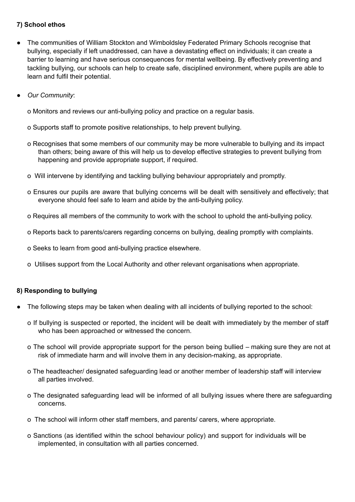# **7) School ethos**

- The communities of William Stockton and Wimboldsley Federated Primary Schools recognise that bullying, especially if left unaddressed, can have a devastating effect on individuals; it can create a barrier to learning and have serious consequences for mental wellbeing. By effectively preventing and tackling bullying, our schools can help to create safe, disciplined environment, where pupils are able to learn and fulfil their potential.
- *Our Community*:

o Monitors and reviews our anti-bullying policy and practice on a regular basis.

- o Supports staff to promote positive relationships, to help prevent bullying.
- o Recognises that some members of our community may be more vulnerable to bullying and its impact than others; being aware of this will help us to develop effective strategies to prevent bullying from happening and provide appropriate support, if required.
- o Will intervene by identifying and tackling bullying behaviour appropriately and promptly.
- o Ensures our pupils are aware that bullying concerns will be dealt with sensitively and effectively; that everyone should feel safe to learn and abide by the anti-bullying policy.
- o Requires all members of the community to work with the school to uphold the anti-bullying policy.
- o Reports back to parents/carers regarding concerns on bullying, dealing promptly with complaints.
- o Seeks to learn from good anti-bullying practice elsewhere.
- o Utilises support from the Local Authority and other relevant organisations when appropriate.

# **8) Responding to bullying**

- The following steps may be taken when dealing with all incidents of bullying reported to the school:
	- o If bullying is suspected or reported, the incident will be dealt with immediately by the member of staff who has been approached or witnessed the concern.
	- o The school will provide appropriate support for the person being bullied making sure they are not at risk of immediate harm and will involve them in any decision-making, as appropriate.
	- o The headteacher/ designated safeguarding lead or another member of leadership staff will interview all parties involved.
	- o The designated safeguarding lead will be informed of all bullying issues where there are safeguarding concerns.
	- o The school will inform other staff members, and parents/ carers, where appropriate.
	- o Sanctions (as identified within the school behaviour policy) and support for individuals will be implemented, in consultation with all parties concerned.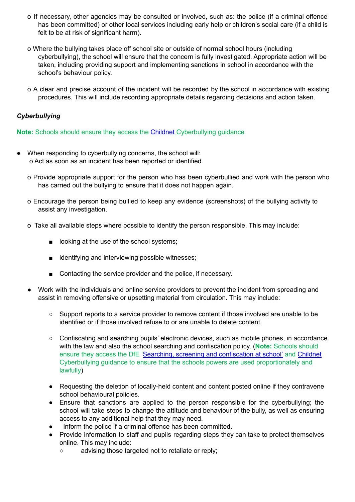- o If necessary, other agencies may be consulted or involved, such as: the police (if a criminal offence has been committed) or other local services including early help or children's social care (if a child is felt to be at risk of significant harm).
- o Where the bullying takes place off school site or outside of normal school hours (including cyberbullying), the school will ensure that the concern is fully investigated. Appropriate action will be taken, including providing support and implementing sanctions in school in accordance with the school's behaviour policy.
- o A clear and precise account of the incident will be recorded by the school in accordance with existing procedures. This will include recording appropriate details regarding decisions and action taken.

# *Cyberbullying*

**Note:** Schools should ensure they access the [Childnet](http://www.childnet.com/resources/cyberbullying-guidance-for-schools) Cyberbullying guidance

- When responding to cyberbullying concerns, the school will: o Act as soon as an incident has been reported or identified.
	- o Provide appropriate support for the person who has been cyberbullied and work with the person who has carried out the bullying to ensure that it does not happen again.
	- o Encourage the person being bullied to keep any evidence (screenshots) of the bullying activity to assist any investigation.
	- o Take all available steps where possible to identify the person responsible. This may include:
		- looking at the use of the school systems;
		- identifying and interviewing possible witnesses;
		- Contacting the service provider and the police, if necessary.
	- Work with the individuals and online service providers to prevent the incident from spreading and assist in removing offensive or upsetting material from circulation. This may include:
		- Support reports to a service provider to remove content if those involved are unable to be identified or if those involved refuse to or are unable to delete content.
		- Confiscating and searching pupils' electronic devices, such as mobile phones, in accordance with the law and also the school searching and confiscation policy. (**Note:** Schools should ensure they access the DfE 'Searching, screening and [confiscation](https://www.gov.uk/government/publications/searching-screening-and-confiscation) at school' and [Childnet](http://www.childnet.com/resources/cyberbullying-guidance-for-schools) Cyberbullying guidance to ensure that the schools powers are used proportionately and lawfully)
		- Requesting the deletion of locally-held content and content posted online if they contravene school behavioural policies.
		- Ensure that sanctions are applied to the person responsible for the cyberbullying; the school will take steps to change the attitude and behaviour of the bully, as well as ensuring access to any additional help that they may need.
		- Inform the police if a criminal offence has been committed.
		- Provide information to staff and pupils regarding steps they can take to protect themselves online. This may include:
			- advising those targeted not to retaliate or reply;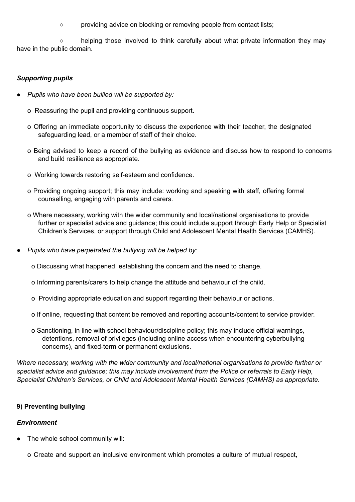○ providing advice on blocking or removing people from contact lists;

○ helping those involved to think carefully about what private information they may have in the public domain.

### *Supporting pupils*

- *Pupils who have been bullied will be supported by:*
	- o Reassuring the pupil and providing continuous support.
	- o Offering an immediate opportunity to discuss the experience with their teacher, the designated safeguarding lead, or a member of staff of their choice.
	- o Being advised to keep a record of the bullying as evidence and discuss how to respond to concerns and build resilience as appropriate.
	- o Working towards restoring self-esteem and confidence.
	- o Providing ongoing support; this may include: working and speaking with staff, offering formal counselling, engaging with parents and carers.
	- o Where necessary, working with the wider community and local/national organisations to provide further or specialist advice and guidance; this could include support through Early Help or Specialist Children's Services, or support through Child and Adolescent Mental Health Services (CAMHS).
- *Pupils who have perpetrated the bullying will be helped by:*

o Discussing what happened, establishing the concern and the need to change.

o Informing parents/carers to help change the attitude and behaviour of the child.

o Providing appropriate education and support regarding their behaviour or actions.

o If online, requesting that content be removed and reporting accounts/content to service provider.

o Sanctioning, in line with school behaviour/discipline policy; this may include official warnings, detentions, removal of privileges (including online access when encountering cyberbullying concerns), and fixed-term or permanent exclusions.

*Where necessary, working with the wider community and local/national organisations to provide further or specialist advice and guidance; this may include involvement from the Police or referrals to Early Help, Specialist Children's Services, or Child and Adolescent Mental Health Services (CAMHS) as appropriate.*

# **9) Preventing bullying**

# *Environment*

- The whole school community will:
	- o Create and support an inclusive environment which promotes a culture of mutual respect,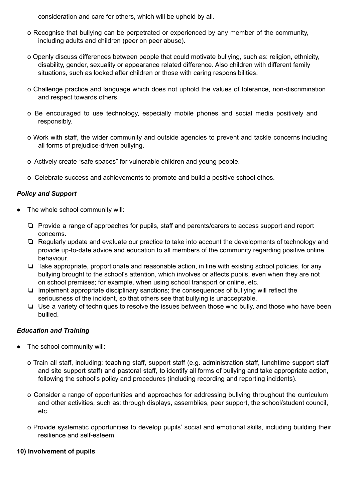consideration and care for others, which will be upheld by all.

- o Recognise that bullying can be perpetrated or experienced by any member of the community, including adults and children (peer on peer abuse).
- o Openly discuss differences between people that could motivate bullying, such as: religion, ethnicity, disability, gender, sexuality or appearance related difference. Also children with different family situations, such as looked after children or those with caring responsibilities.
- o Challenge practice and language which does not uphold the values of tolerance, non-discrimination and respect towards others.
- o Be encouraged to use technology, especially mobile phones and social media positively and responsibly.
- o Work with staff, the wider community and outside agencies to prevent and tackle concerns including all forms of prejudice-driven bullying.
- o Actively create "safe spaces" for vulnerable children and young people.
- o Celebrate success and achievements to promote and build a positive school ethos.

# *Policy and Support*

- The whole school community will:
	- ❏ Provide a range of approaches for pupils, staff and parents/carers to access support and report concerns.
	- ❏ Regularly update and evaluate our practice to take into account the developments of technology and provide up-to-date advice and education to all members of the community regarding positive online behaviour.
	- ❏ Take appropriate, proportionate and reasonable action, in line with existing school policies, for any bullying brought to the school's attention, which involves or affects pupils, even when they are not on school premises; for example, when using school transport or online, etc.
	- ❏ Implement appropriate disciplinary sanctions; the consequences of bullying will reflect the seriousness of the incident, so that others see that bullying is unacceptable.
	- ❏ Use a variety of techniques to resolve the issues between those who bully, and those who have been bullied.

# *Education and Training*

- The school community will:
	- o Train all staff, including: teaching staff, support staff (e.g. administration staff, lunchtime support staff and site support staff) and pastoral staff, to identify all forms of bullying and take appropriate action, following the school's policy and procedures (including recording and reporting incidents).
	- o Consider a range of opportunities and approaches for addressing bullying throughout the curriculum and other activities, such as: through displays, assemblies, peer support, the school/student council, etc.
	- o Provide systematic opportunities to develop pupils' social and emotional skills, including building their resilience and self-esteem.

### **10) Involvement of pupils**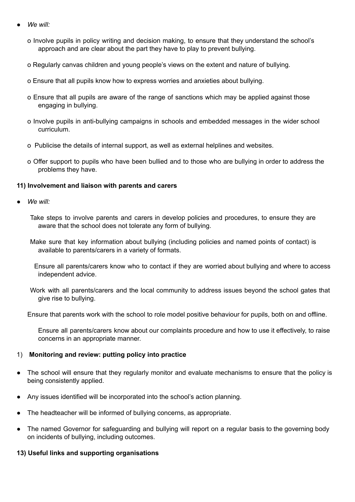- *We will:*
	- o Involve pupils in policy writing and decision making, to ensure that they understand the school's approach and are clear about the part they have to play to prevent bullying.
	- o Regularly canvas children and young people's views on the extent and nature of bullying.
	- o Ensure that all pupils know how to express worries and anxieties about bullying.
	- o Ensure that all pupils are aware of the range of sanctions which may be applied against those engaging in bullying.
	- o Involve pupils in anti-bullying campaigns in schools and embedded messages in the wider school curriculum.
	- o Publicise the details of internal support, as well as external helplines and websites.
	- o Offer support to pupils who have been bullied and to those who are bullying in order to address the problems they have.

#### **11) Involvement and liaison with parents and carers**

- *We will:*
	- Take steps to involve parents and carers in develop policies and procedures, to ensure they are aware that the school does not tolerate any form of bullying.
	- Make sure that key information about bullying (including policies and named points of contact) is available to parents/carers in a variety of formats.
		- Ensure all parents/carers know who to contact if they are worried about bullying and where to access independent advice.
	- Work with all parents/carers and the local community to address issues beyond the school gates that give rise to bullying.

Ensure that parents work with the school to role model positive behaviour for pupils, both on and offline.

Ensure all parents/carers know about our complaints procedure and how to use it effectively, to raise concerns in an appropriate manner.

### 1) **Monitoring and review: putting policy into practice**

- The school will ensure that they regularly monitor and evaluate mechanisms to ensure that the policy is being consistently applied.
- Any issues identified will be incorporated into the school's action planning.
- The headteacher will be informed of bullying concerns, as appropriate.
- The named Governor for safeguarding and bullying will report on a regular basis to the governing body on incidents of bullying, including outcomes.

### **13) Useful links and supporting organisations**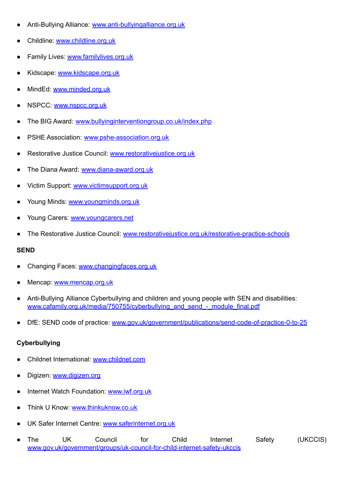- Anti-Bullying Alliance: [www.anti-bullyingalliance.org.uk](http://www.anti-bullyingalliance.org.uk/)
- Childline: [www.childline.org.uk](http://www.childline.org.uk/)
- Family Lives: [www.familylives.org.uk](http://www.familylives.org.uk/)
- Kidscape: [www.kidscape.org.uk](http://www.kidscape.org.uk/)
- MindEd: [www.minded.org.uk](http://www.minded.org.uk/)
- NSPCC: [www.nspcc.org.uk](http://www.nspcc.org.uk/)
- The BIG Award: [www.bullyinginterventiongroup.co.uk/index.php](https://www.bullyinginterventiongroup.co.uk/index.php)
- PSHE Association: [www.pshe-association.org.uk](http://www.pshe-association.org.uk/)
- Restorative Justice Council: [www.restorativejustice.org.uk](http://www.restorativejustice.org.uk/)
- The Diana Award: [www.diana-award.org.uk](http://www.diana-award.org.uk/)
- Victim Support: [www.victimsupport.org.uk](http://www.victimsupport.org.uk/)
- Young Minds: [www.youngminds.org.uk](http://www.youngminds.org.uk/)
- Young Carers: [www.youngcarers.net](http://www.youngcarers.net/)
- The Restorative Justice Council: [www.restorativejustice.org.uk/restorative-practice-schools](http://www.restorativejustice.org.uk/restorative-practice-schools)

#### **SEND**

- Changing Faces: [www.changingfaces.org.uk](http://www.changingfaces.org.uk/)
- Mencap: [www.mencap.org.uk](http://www.mencap.org.uk/)
- Anti-Bullying Alliance Cyberbullying and children and young people with SEN and disabilities: [www.cafamily.org.uk/media/750755/cyberbullying\\_and\\_send\\_-\\_module\\_final.pdf](http://www.cafamily.org.uk/media/750755/cyberbullying_and_send_-_module_final.pdf)
- DfE: SEND code of practice: [www.gov.uk/government/publications/send-code-of-practice-0-to-25](https://www.gov.uk/government/publications/send-code-of-practice-0-to-25)

### **Cyberbullying**

- Childnet International: [www.childnet.com](http://www.childnet.com/)
- Digizen: [www.digizen.org](http://www.digizen.org/)
- Internet Watch Foundation: [www.iwf.org.uk](http://www.iwf.org.uk/)
- Think U Know: [www.thinkuknow.co.uk](http://www.thinkuknow.co.uk/)
- UK Safer Internet Centre: [www.saferinternet.org.uk](http://www.saferinternet.org.uk/)
- The UK Council for Child Internet Safety (UKCCIS) [www.gov.uk/government/groups/uk-council-for-child-internet-safety-ukccis](http://www.gov.uk/government/groups/uk-council-for-child-internet-safety-ukccis)